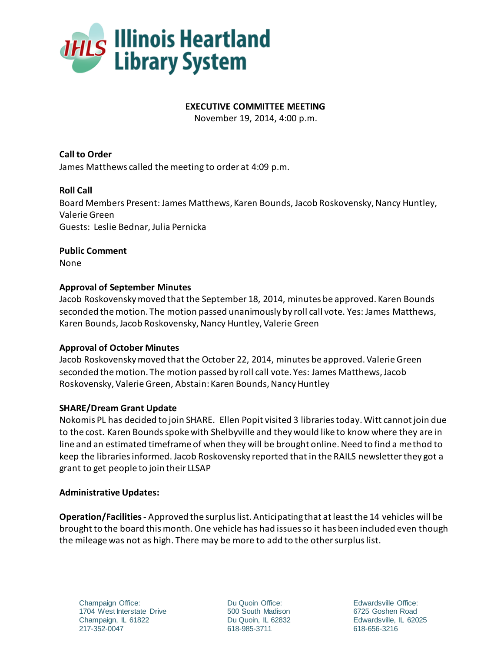

### **EXECUTIVE COMMITTEE MEETING**

November 19, 2014, 4:00 p.m.

**Call to Order** James Matthews called the meeting to order at 4:09 p.m.

## **Roll Call**

Board Members Present: James Matthews, Karen Bounds, Jacob Roskovensky, Nancy Huntley, Valerie Green Guests: Leslie Bednar, Julia Pernicka

## **Public Comment**

None

## **Approval of September Minutes**

Jacob Roskovensky moved that the September 18, 2014, minutes be approved. Karen Bounds seconded the motion. The motion passed unanimously by roll call vote. Yes: James Matthews, Karen Bounds, Jacob Roskovensky, Nancy Huntley, Valerie Green

# **Approval of October Minutes**

Jacob Roskovensky moved that the October 22, 2014, minutes be approved. Valerie Green seconded the motion. The motion passed by roll call vote. Yes: James Matthews, Jacob Roskovensky, Valerie Green, Abstain: Karen Bounds, Nancy Huntley

#### **SHARE/Dream Grant Update**

Nokomis PL has decided to join SHARE. Ellen Popit visited 3 libraries today. Witt cannot join due to the cost. Karen Boundsspoke with Shelbyville and they would like to know where they are in line and an estimated timeframe of when they will be brought online. Need to find a method to keep the libraries informed. Jacob Roskovensky reported that in the RAILS newsletter they got a grant to get people to join their LLSAP

#### **Administrative Updates:**

**Operation/Facilities**- Approved the surplus list. Anticipating that at least the 14 vehicles will be brought to the board this month. One vehicle has had issues so it has been included even though the mileage was not as high. There may be more to add to the other surplus list.

Champaign Office: 1704 West Interstate Drive Champaign, IL 61822 217-352-0047

Du Quoin Office: 500 South Madison Du Quoin, IL 62832 618-985-3711

Edwardsville Office: 6725 Goshen Road Edwardsville, IL 62025 618-656-3216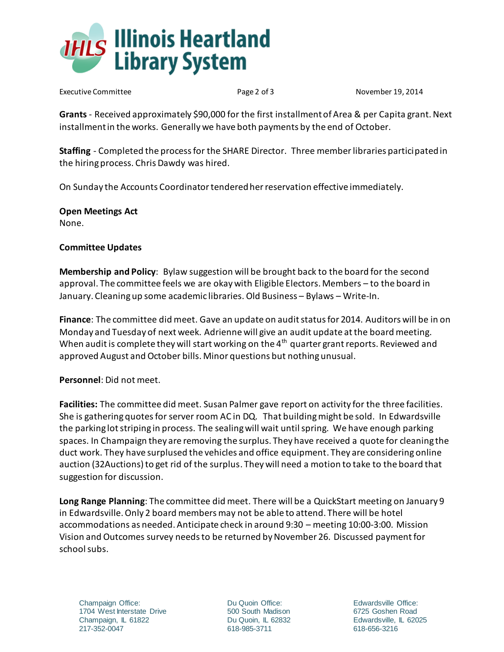

Executive Committee **Page 2 of 3** Page 2 of 3 November 19, 2014

**Grants** - Received approximately \$90,000 for the first installment of Area & per Capita grant. Next installment in the works. Generally we have both payments by the end of October.

**Staffing** - Completed the process for the SHARE Director. Three member libraries participated in the hiring process. Chris Dawdy was hired.

On Sunday the Accounts Coordinator tendered her reservation effective immediately.

**Open Meetings Act** None.

## **Committee Updates**

**Membership and Policy**: Bylaw suggestion will be brought back to the board for the second approval. The committee feels we are okay with Eligible Electors. Members – to the board in January. Cleaning up some academic libraries. Old Business – Bylaws – Write-In.

**Finance**: The committee did meet. Gave an update on audit status for 2014. Auditors will be in on Monday and Tuesday of next week. Adrienne will give an audit update at the board meeting. When audit is complete they will start working on the  $4<sup>th</sup>$  quarter grant reports. Reviewed and approved August and October bills. Minor questions but nothing unusual.

**Personnel**: Did not meet.

**Facilities:** The committee did meet. Susan Palmer gave report on activity for the three facilities. She is gathering quotes for server room AC in DQ. That building might be sold. In Edwardsville the parking lot striping in process. The sealing will wait until spring. We have enough parking spaces. In Champaign they are removing the surplus. They have received a quote for cleaning the duct work. They have surplused the vehicles and office equipment. They are considering online auction (32Auctions) to get rid of the surplus. They will need a motion to take to the board that suggestion for discussion.

**Long Range Planning**: The committee did meet. There will be a QuickStart meeting on January 9 in Edwardsville. Only 2 board members may not be able to attend. There will be hotel accommodations as needed. Anticipate check in around 9:30 – meeting 10:00-3:00. Mission Vision and Outcomes survey needs to be returned by November 26. Discussed payment for school subs.

Champaign Office: 1704 West Interstate Drive Champaign, IL 61822 217-352-0047

Du Quoin Office: 500 South Madison Du Quoin, IL 62832 618-985-3711

Edwardsville Office: 6725 Goshen Road Edwardsville, IL 62025 618-656-3216